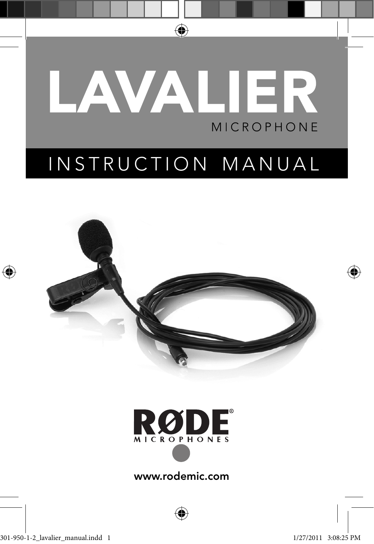

# INSTRUCTION MANUAL





www.rodemic.com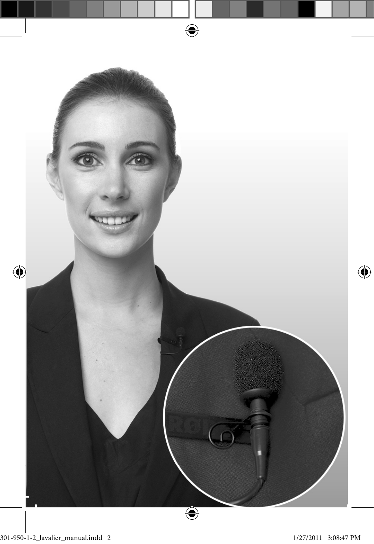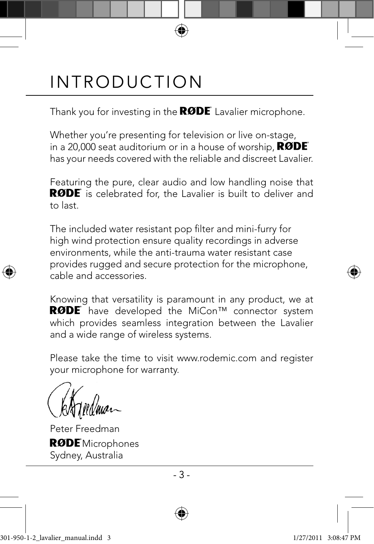## INTRODUCTION

Thank you for investing in the  $\text{RODE}$  Lavalier microphone.

Whether you're presenting for television or live on-stage, in a 20,000 seat auditorium or in a house of worship, **RØDE** has your needs covered with the reliable and discreet Lavalier.

Featuring the pure, clear audio and low handling noise that **RØDE** is celebrated for, the Lavalier is built to deliver and to last.

The included water resistant pop filter and mini-furry for high wind protection ensure quality recordings in adverse environments, while the anti-trauma water resistant case provides rugged and secure protection for the microphone, cable and accessories.

Knowing that versatility is paramount in any product, we at RØDE have developed the MiCon™ connector system which provides seamless integration between the Lavalier and a wide range of wireless systems.

Please take the time to visit www.rodemic.com and register your microphone for warranty.

Peter Freedman **RØDE** Microphones Sydney, Australia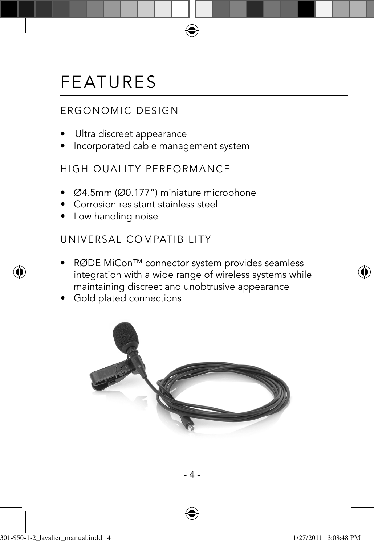### FEATURES

#### ERGONOMIC DESIGN

- Ultra discreet appearance
- Incorporated cable management system

#### HIGH QUALITY PERFORMANCE

- Ø4.5mm (Ø0.177") miniature microphone
- Corrosion resistant stainless steel
- Low handling noise

#### UNIVERSAL COMPATIBILITY

- RØDE MiCon™ connector system provides seamless integration with a wide range of wireless systems while maintaining discreet and unobtrusive appearance
- Gold plated connections

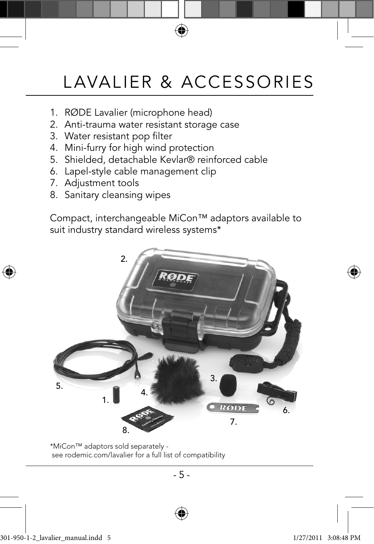### LAVALIER & ACCESSORIES

- 1. RØDE Lavalier (microphone head)
- 2. Anti-trauma water resistant storage case
- 3. Water resistant pop filter
- 4. Mini-furry for high wind protection
- 5. Shielded, detachable Kevlar® reinforced cable
- 6. Lapel-style cable management clip
- 7. Adjustment tools
- 8. Sanitary cleansing wipes

Compact, interchangeable MiCon™ adaptors available to suit industry standard wireless systems\*



\*MiCon™ adaptors sold separately see rodemic.com/lavalier for a full list of compatibility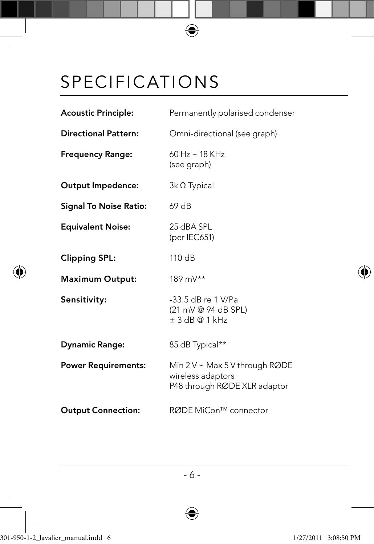## SPECIFICATIONS

| <b>Acoustic Principle:</b>    | Permanently polarised condenser                                                     |
|-------------------------------|-------------------------------------------------------------------------------------|
| <b>Directional Pattern:</b>   | Omni-directional (see graph)                                                        |
| <b>Frequency Range:</b>       | $60$ Hz $\sim$ 18 KHz<br>(see graph)                                                |
| Output Impedence:             | $3k \Omega$ Typical                                                                 |
| <b>Signal To Noise Ratio:</b> | 69 dB                                                                               |
| <b>Equivalent Noise:</b>      | 25 dBA SPL<br>(per IEC651)                                                          |
| <b>Clipping SPL:</b>          | 110dB                                                                               |
| <b>Maximum Output:</b>        | 189 mV**                                                                            |
| Sensitivity:                  | -33.5 dB re 1 V/Pa<br>(21 mV @ 94 dB SPL)<br>$\pm$ 3 dB @ 1 kHz                     |
| <b>Dynamic Range:</b>         | 85 dB Typical**                                                                     |
| <b>Power Requirements:</b>    | Min 2 V ~ Max 5 V through RØDE<br>wireless adaptors<br>P48 through RØDE XLR adaptor |
| <b>Output Connection:</b>     | RØDE MiCon™ connector                                                               |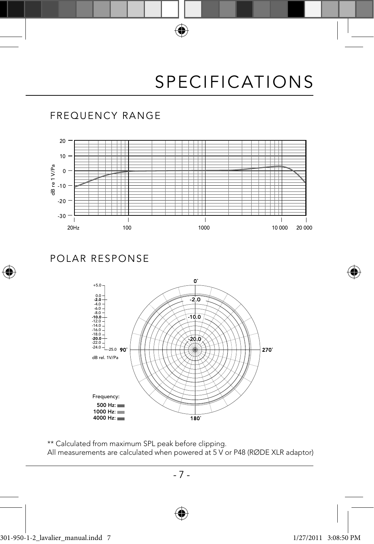### SPECIFICATIONS

### FREQUENCY RANGE



#### POLAR RESPONSE



\*\* Calculated from maximum SPL peak before clipping.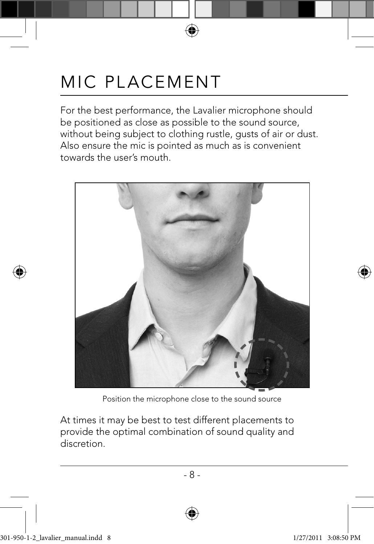# MIC PLACEMENT

For the best performance, the Lavalier microphone should be positioned as close as possible to the sound source, without being subject to clothing rustle, gusts of air or dust. Also ensure the mic is pointed as much as is convenient towards the user's mouth.



Position the microphone close to the sound source

At times it may be best to test different placements to provide the optimal combination of sound quality and discretion.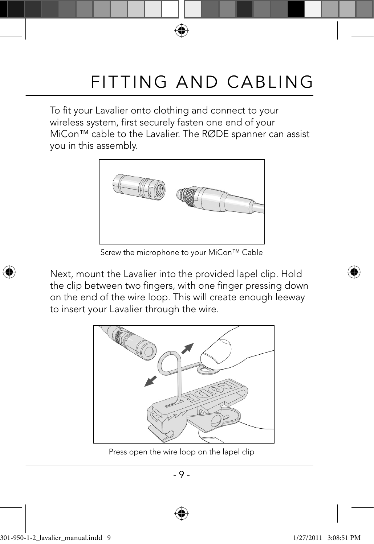## FITTING AND CABLING

To fit your Lavalier onto clothing and connect to your wireless system, first securely fasten one end of your MiCon™ cable to the Lavalier. The RØDE spanner can assist you in this assembly.



Screw the microphone to your MiCon™ Cable

Next, mount the Lavalier into the provided lapel clip. Hold the clip between two fingers, with one finger pressing down on the end of the wire loop. This will create enough leeway to insert your Lavalier through the wire.



Press open the wire loop on the lapel clip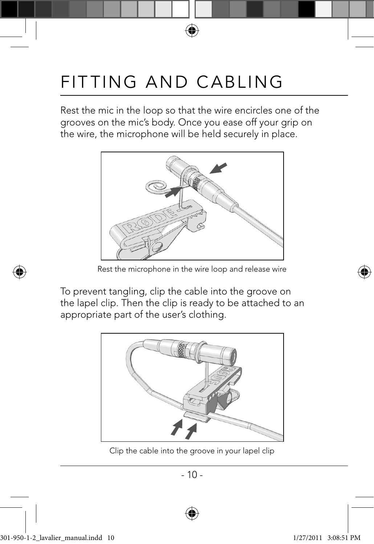## FITTING AND CABLING

Rest the mic in the loop so that the wire encircles one of the grooves on the mic's body. Once you ease off your grip on the wire, the microphone will be held securely in place.



Rest the microphone in the wire loop and release wire

To prevent tangling, clip the cable into the groove on the lapel clip. Then the clip is ready to be attached to an appropriate part of the user's clothing.



Clip the cable into the groove in your lapel clip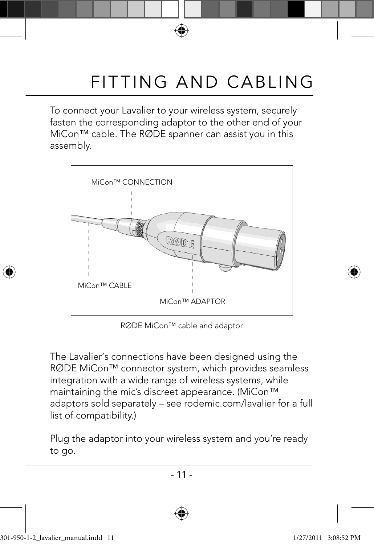To connect your Lavalier to your wireless system, securely fasten the corresponding adaptor to the other end of your MiCon™ cable. The RØDE spanner can assist you in this assembly.



RØDE MiCon™ cable and adaptor

The Lavalier's connections have been designed using the RØDE MiCon™ connector system, which provides seamless integration with a wide range of wireless systems, while maintaining the mic's discreet appearance. (MiCon™ adaptors sold separately – see rodemic.com/lavalier for a full list of compatibility.)

Plug the adaptor into your wireless system and you're ready to go.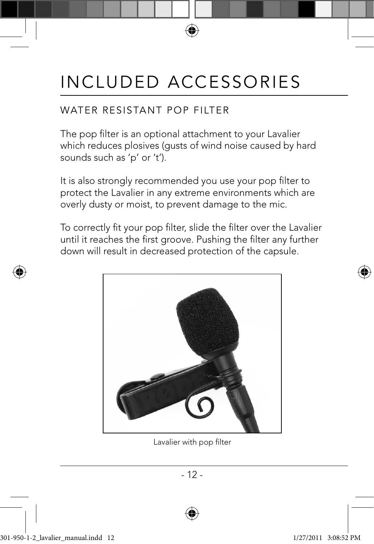# INCLUDED ACCESSORIES

### WATER RESISTANT POP FILTER

The pop filter is an optional attachment to your Lavalier which reduces plosives (gusts of wind noise caused by hard sounds such as 'p' or 't').

It is also strongly recommended you use your pop filter to protect the Lavalier in any extreme environments which are overly dusty or moist, to prevent damage to the mic.

To correctly fit your pop filter, slide the filter over the Lavalier until it reaches the first groove. Pushing the filter any further down will result in decreased protection of the capsule.



Lavalier with pop filter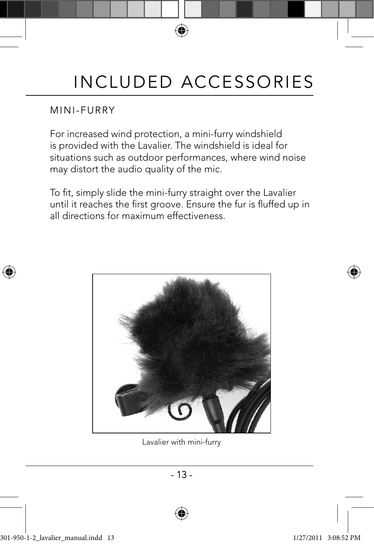## INCLUDED ACCESSORIES

#### MINI-FURRY

For increased wind protection, a mini-furry windshield is provided with the Lavalier. The windshield is ideal for situations such as outdoor performances, where wind noise may distort the audio quality of the mic.

To fit, simply slide the mini-furry straight over the Lavalier until it reaches the first groove. Ensure the fur is fluffed up in all directions for maximum effectiveness.



Lavalier with mini-furry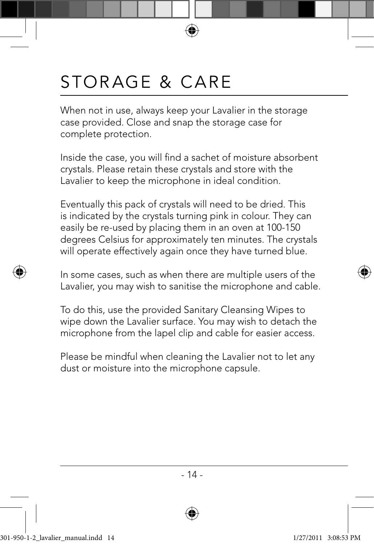## STORAGE & CARE

When not in use, always keep your Lavalier in the storage case provided. Close and snap the storage case for complete protection.

Inside the case, you will find a sachet of moisture absorbent crystals. Please retain these crystals and store with the Lavalier to keep the microphone in ideal condition.

Eventually this pack of crystals will need to be dried. This is indicated by the crystals turning pink in colour. They can easily be re-used by placing them in an oven at 100-150 degrees Celsius for approximately ten minutes. The crystals will operate effectively again once they have turned blue.

In some cases, such as when there are multiple users of the Lavalier, you may wish to sanitise the microphone and cable.

To do this, use the provided Sanitary Cleansing Wipes to wipe down the Lavalier surface. You may wish to detach the microphone from the lapel clip and cable for easier access.

Please be mindful when cleaning the Lavalier not to let any dust or moisture into the microphone capsule.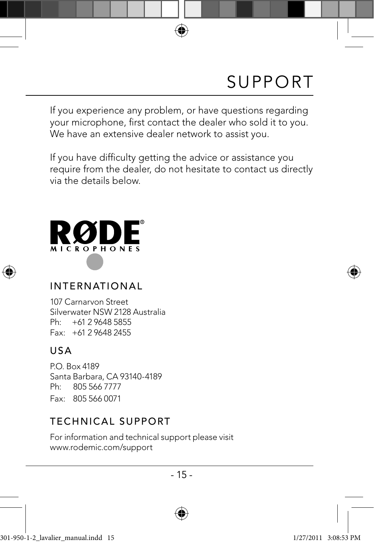If you experience any problem, or have questions regarding your microphone, first contact the dealer who sold it to you. We have an extensive dealer network to assist you.

If you have difficulty getting the advice or assistance you require from the dealer, do not hesitate to contact us directly via the details below.



#### INTERNATIONAL

107 Carnarvon Street Silverwater NSW 2128 Australia Ph: +61 2 9648 5855 Fax: +61 2 9648 2455

#### USA

P.O. Box 4189 Santa Barbara, CA 93140-4189 Ph: 805 566 7777 Fax: 805 566 0071

### TECHNICAL SUPPORT

For information and technical support please visit www.rodemic.com/support